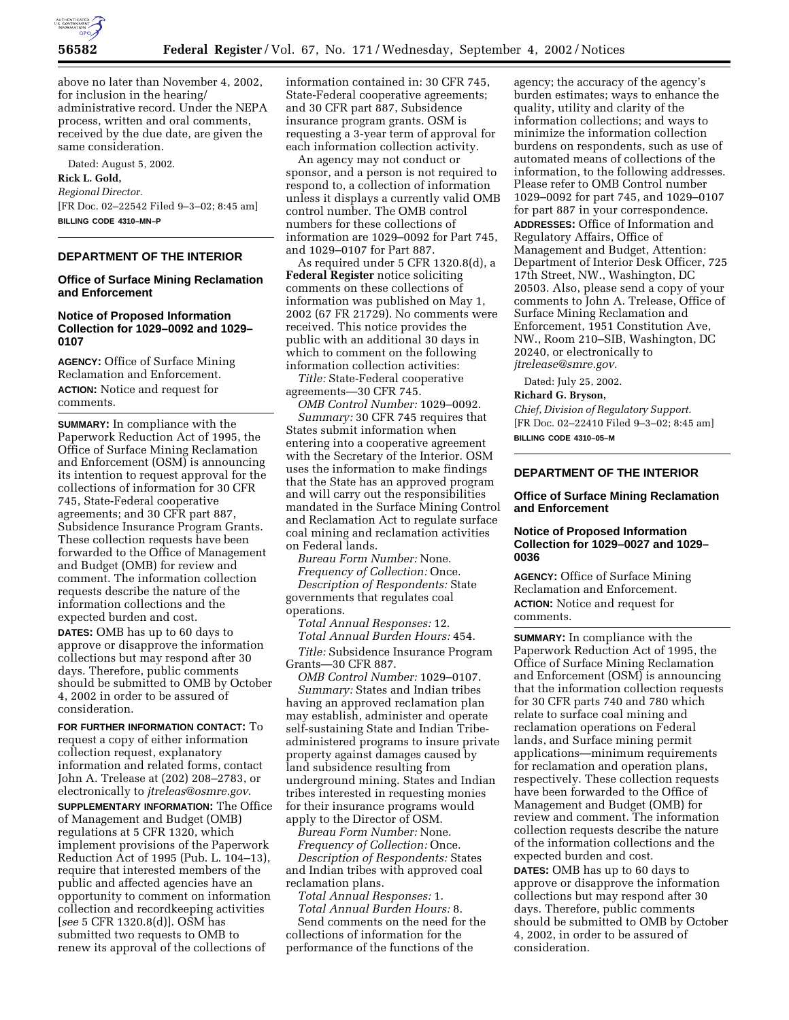

above no later than November 4, 2002, for inclusion in the hearing/ administrative record. Under the NEPA process, written and oral comments, received by the due date, are given the same consideration.

Dated: August 5, 2002.

**Rick L. Gold,**  *Regional Director.* [FR Doc. 02–22542 Filed 9–3–02; 8:45 am] **BILLING CODE 4310–MN–P**

# **DEPARTMENT OF THE INTERIOR**

### **Office of Surface Mining Reclamation and Enforcement**

## **Notice of Proposed Information Collection for 1029–0092 and 1029– 0107**

**AGENCY:** Office of Surface Mining Reclamation and Enforcement. **ACTION:** Notice and request for comments.

**SUMMARY:** In compliance with the Paperwork Reduction Act of 1995, the Office of Surface Mining Reclamation and Enforcement (OSM) is announcing its intention to request approval for the collections of information for 30 CFR 745, State-Federal cooperative agreements; and 30 CFR part 887, Subsidence Insurance Program Grants. These collection requests have been forwarded to the Office of Management and Budget (OMB) for review and comment. The information collection requests describe the nature of the information collections and the expected burden and cost.

**DATES:** OMB has up to 60 days to approve or disapprove the information collections but may respond after 30 days. Therefore, public comments should be submitted to OMB by October 4, 2002 in order to be assured of consideration.

**FOR FURTHER INFORMATION CONTACT:** To request a copy of either information collection request, explanatory information and related forms, contact John A. Trelease at (202) 208–2783, or electronically to *jtreleas@osmre.gov*.

**SUPPLEMENTARY INFORMATION:** The Office of Management and Budget (OMB) regulations at 5 CFR 1320, which implement provisions of the Paperwork Reduction Act of 1995 (Pub. L. 104–13), require that interested members of the public and affected agencies have an opportunity to comment on information collection and recordkeeping activities [*see* 5 CFR 1320.8(d)]. OSM has submitted two requests to OMB to renew its approval of the collections of

information contained in: 30 CFR 745, State-Federal cooperative agreements; and 30 CFR part 887, Subsidence insurance program grants. OSM is requesting a 3-year term of approval for each information collection activity.

An agency may not conduct or sponsor, and a person is not required to respond to, a collection of information unless it displays a currently valid OMB control number. The OMB control numbers for these collections of information are 1029–0092 for Part 745, and 1029–0107 for Part 887.

As required under 5 CFR 1320.8(d), a **Federal Register** notice soliciting comments on these collections of information was published on May 1, 2002 (67 FR 21729). No comments were received. This notice provides the public with an additional 30 days in which to comment on the following information collection activities:

*Title:* State-Federal cooperative agreements—30 CFR 745.

*OMB Control Number:* 1029–0092. *Summary:* 30 CFR 745 requires that States submit information when entering into a cooperative agreement with the Secretary of the Interior. OSM uses the information to make findings that the State has an approved program and will carry out the responsibilities mandated in the Surface Mining Control and Reclamation Act to regulate surface coal mining and reclamation activities on Federal lands.

*Bureau Form Number:* None. *Frequency of Collection:* Once. *Description of Respondents:* State governments that regulates coal operations.

*Total Annual Responses:* 12.

*Total Annual Burden Hours:* 454.

*Title:* Subsidence Insurance Program Grants—30 CFR 887.

*OMB Control Number:* 1029–0107. *Summary:* States and Indian tribes having an approved reclamation plan may establish, administer and operate self-sustaining State and Indian Tribeadministered programs to insure private property against damages caused by land subsidence resulting from underground mining. States and Indian tribes interested in requesting monies for their insurance programs would apply to the Director of OSM.

*Bureau Form Number:* None.

*Frequency of Collection:* Once. *Description of Respondents:* States and Indian tribes with approved coal reclamation plans.

*Total Annual Responses:* 1.

*Total Annual Burden Hours:* 8. Send comments on the need for the collections of information for the performance of the functions of the

agency; the accuracy of the agency's burden estimates; ways to enhance the quality, utility and clarity of the information collections; and ways to minimize the information collection burdens on respondents, such as use of automated means of collections of the information, to the following addresses. Please refer to OMB Control number 1029–0092 for part 745, and 1029–0107 for part 887 in your correspondence. **ADDRESSES:** Office of Information and Regulatory Affairs, Office of Management and Budget, Attention: Department of Interior Desk Officer, 725 17th Street, NW., Washington, DC 20503. Also, please send a copy of your comments to John A. Trelease, Office of Surface Mining Reclamation and Enforcement, 1951 Constitution Ave, NW., Room 210–SIB, Washington, DC 20240, or electronically to *jtrelease@smre.gov.*

Dated: July 25, 2002.

**Richard G. Bryson,** 

*Chief, Division of Regulatory Support.* [FR Doc. 02–22410 Filed 9–3–02; 8:45 am] **BILLING CODE 4310–05–M**

# **DEPARTMENT OF THE INTERIOR**

### **Office of Surface Mining Reclamation and Enforcement**

### **Notice of Proposed Information Collection for 1029–0027 and 1029– 0036**

**AGENCY:** Office of Surface Mining Reclamation and Enforcement. **ACTION:** Notice and request for comments.

**SUMMARY:** In compliance with the Paperwork Reduction Act of 1995, the Office of Surface Mining Reclamation and Enforcement (OSM) is announcing that the information collection requests for 30 CFR parts 740 and 780 which relate to surface coal mining and reclamation operations on Federal lands, and Surface mining permit applications—minimum requirements for reclamation and operation plans, respectively. These collection requests have been forwarded to the Office of Management and Budget (OMB) for review and comment. The information collection requests describe the nature of the information collections and the expected burden and cost.

**DATES:** OMB has up to 60 days to approve or disapprove the information collections but may respond after 30 days. Therefore, public comments should be submitted to OMB by October 4, 2002, in order to be assured of consideration.